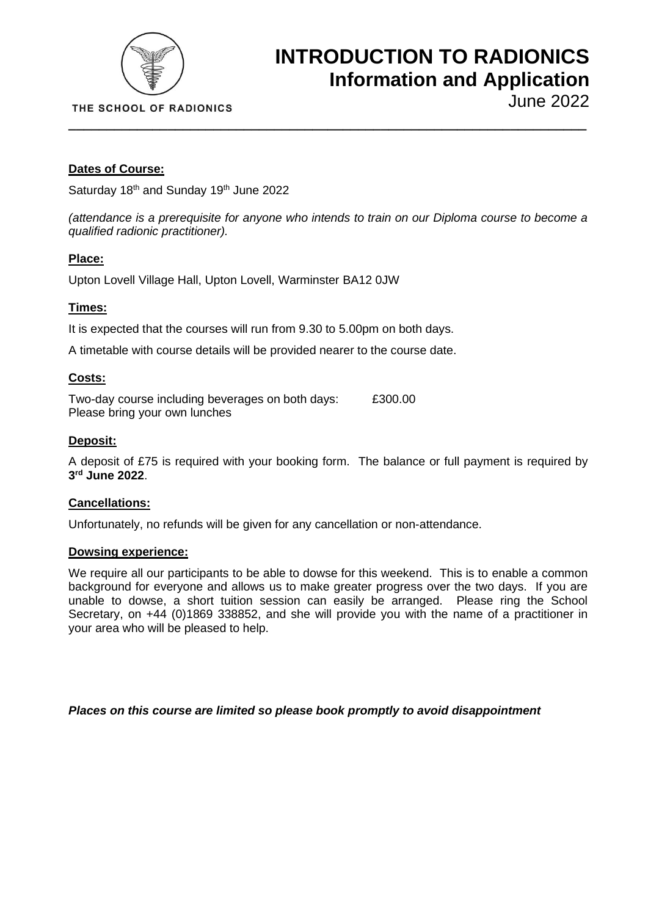

## **INTRODUCTION TO RADIONICS Information and Application**

## **Dates of Course:**

Saturday 18<sup>th</sup> and Sunday 19<sup>th</sup> June 2022

*(attendance is a prerequisite for anyone who intends to train on our Diploma course to become a qualified radionic practitioner).*

**\_\_\_\_\_\_\_\_\_\_\_\_\_\_\_\_\_\_\_\_\_\_\_\_\_\_\_\_\_\_\_\_\_\_\_\_\_\_\_\_\_\_\_\_\_\_\_\_\_\_\_\_\_\_\_\_\_\_\_\_\_\_\_\_\_\_\_\_**

## **Place:**

Upton Lovell Village Hall, Upton Lovell, Warminster BA12 0JW

## **Times:**

It is expected that the courses will run from 9.30 to 5.00pm on both days.

A timetable with course details will be provided nearer to the course date.

## **Costs:**

Two-day course including beverages on both days: £300.00 Please bring your own lunches

## **Deposit:**

A deposit of £75 is required with your booking form. The balance or full payment is required by **3 rd June 2022**.

## **Cancellations:**

Unfortunately, no refunds will be given for any cancellation or non-attendance.

#### **Dowsing experience:**

We require all our participants to be able to dowse for this weekend. This is to enable a common background for everyone and allows us to make greater progress over the two days. If you are unable to dowse, a short tuition session can easily be arranged. Please ring the School Secretary, on +44 (0)1869 338852, and she will provide you with the name of a practitioner in your area who will be pleased to help.

*Places on this course are limited so please book promptly to avoid disappointment*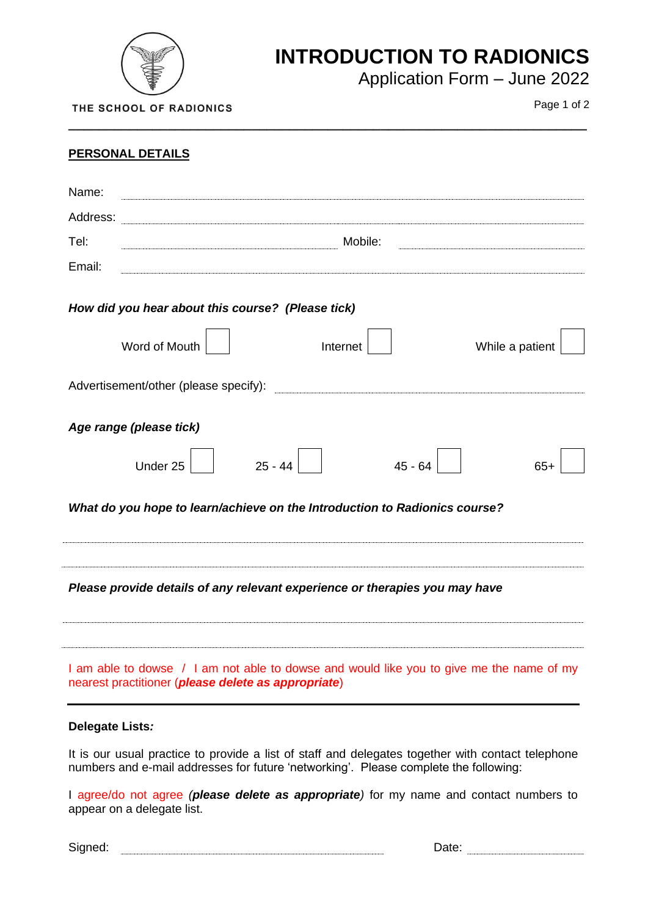

## **INTRODUCTION TO RADIONICS**

Application Form – June 2022

THE SCHOOL OF RADIONICS

Page 1 of 2

| <b>PERSONAL DETAILS</b>                                                                                                                         |  |  |  |  |
|-------------------------------------------------------------------------------------------------------------------------------------------------|--|--|--|--|
| Name:                                                                                                                                           |  |  |  |  |
| Address:                                                                                                                                        |  |  |  |  |
| Mobile:<br>Tel:                                                                                                                                 |  |  |  |  |
| Email:                                                                                                                                          |  |  |  |  |
| How did you hear about this course? (Please tick)                                                                                               |  |  |  |  |
| Word of Mouth<br>While a patient<br>Internet                                                                                                    |  |  |  |  |
|                                                                                                                                                 |  |  |  |  |
| Age range (please tick)                                                                                                                         |  |  |  |  |
| $25 - 44$<br>$45 - 64$<br>Under 25<br>$65+$                                                                                                     |  |  |  |  |
| What do you hope to learn/achieve on the Introduction to Radionics course?                                                                      |  |  |  |  |
| Please provide details of any relevant experience or therapies you may have                                                                     |  |  |  |  |
| I am able to dowse / I am not able to dowse and would like you to give me the name of my<br>nearest practitioner (please delete as appropriate) |  |  |  |  |

**\_\_\_\_\_\_\_\_\_\_\_\_\_\_\_\_\_\_\_\_\_\_\_\_\_\_\_\_\_\_\_\_\_\_\_\_\_\_\_\_\_\_\_\_\_\_\_\_\_\_\_\_\_\_\_\_\_\_\_\_\_\_\_\_\_\_\_\_**

## **Delegate Lists***:*

It is our usual practice to provide a list of staff and delegates together with contact telephone numbers and e-mail addresses for future 'networking'. Please complete the following:

I agree/do not agree *(please delete as appropriate)* for my name and contact numbers to appear on a delegate list.

Signed: Date: